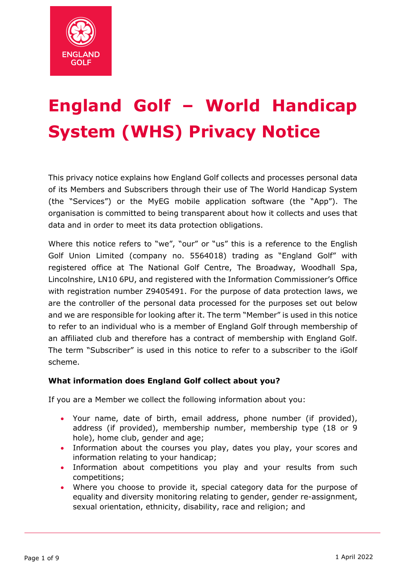

# **England Golf – World Handicap System (WHS) Privacy Notice**

This privacy notice explains how England Golf collects and processes personal data of its Members and Subscribers through their use of The World Handicap System (the "Services") or the MyEG mobile application software (the "App"). The organisation is committed to being transparent about how it collects and uses that data and in order to meet its data protection obligations.

Where this notice refers to "we", "our" or "us" this is a reference to the English Golf Union Limited (company no. 5564018) trading as "England Golf" with registered office at The National Golf Centre, The Broadway, Woodhall Spa, Lincolnshire, LN10 6PU, and registered with the Information Commissioner's Office with registration number Z9405491. For the purpose of data protection laws, we are the controller of the personal data processed for the purposes set out below and we are responsible for looking after it. The term "Member" is used in this notice to refer to an individual who is a member of England Golf through membership of an affiliated club and therefore has a contract of membership with England Golf. The term "Subscriber" is used in this notice to refer to a subscriber to the iGolf scheme.

# **What information does England Golf collect about you?**

If you are a Member we collect the following information about you:

- Your name, date of birth, email address, phone number (if provided), address (if provided), membership number, membership type (18 or 9 hole), home club, gender and age;
- Information about the courses you play, dates you play, your scores and information relating to your handicap;
- Information about competitions you play and your results from such competitions;
- Where you choose to provide it, special category data for the purpose of equality and diversity monitoring relating to gender, gender re-assignment, sexual orientation, ethnicity, disability, race and religion; and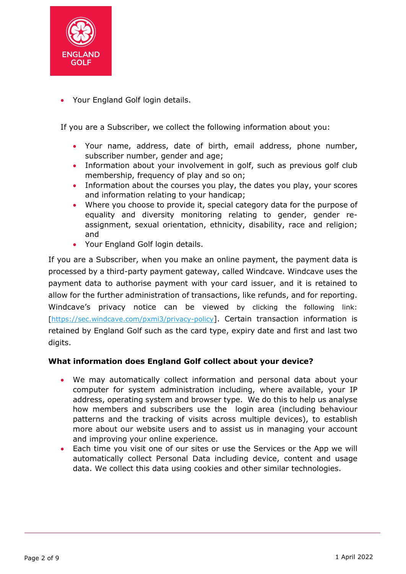

• Your England Golf login details.

If you are a Subscriber, we collect the following information about you:

- Your name, address, date of birth, email address, phone number, subscriber number, gender and age;
- Information about your involvement in golf, such as previous golf club membership, frequency of play and so on;
- Information about the courses you play, the dates you play, your scores and information relating to your handicap;
- Where you choose to provide it, special category data for the purpose of equality and diversity monitoring relating to gender, gender reassignment, sexual orientation, ethnicity, disability, race and religion; and
- Your England Golf login details.

If you are a Subscriber, when you make an online payment, the payment data is processed by a third-party payment gateway, called Windcave. Windcave uses the payment data to authorise payment with your card issuer, and it is retained to allow for the further administration of transactions, like refunds, and for reporting. Windcave's privacy notice can be viewed by clicking the following link: [\[https://sec.windcave.com/pxmi3/privacy-policy\]](https://eur01.safelinks.protection.outlook.com/?url=https%3A%2F%2Fwww.figma.com%2Fexit%3Furl%3Dhttps%253A%252F%252Fsec.windcave.com%252Fpxmi3%252Fprivacy-policy&data=04%7C01%7Cemily.green%40englandgolf.org%7C5255828034094d6487c008d8f3808ddf%7Cc77dd947aff34e84a21dcc0064ec13fe%7C0%7C0%7C637527080757207461%7CUnknown%7CTWFpbGZsb3d8eyJWIjoiMC4wLjAwMDAiLCJQIjoiV2luMzIiLCJBTiI6Ik1haWwiLCJXVCI6Mn0%3D%7C1000&sdata=j4FiO%2F6mtmYlmem1r%2BFEQPKLIYk%2FyvYwaFLvmGr%2FCEw%3D&reserved=0). Certain transaction information is retained by England Golf such as the card type, expiry date and first and last two digits.

## **What information does England Golf collect about your device?**

- We may automatically collect information and personal data about your computer for system administration including, where available, your IP address, operating system and browser type. We do this to help us analyse how members and subscribers use the login area (including behaviour patterns and the tracking of visits across multiple devices), to establish more about our website users and to assist us in managing your account and improving your online experience.
- Each time you visit one of our sites or use the Services or the App we will automatically collect Personal Data including device, content and usage data. We collect this data using cookies and other similar technologies.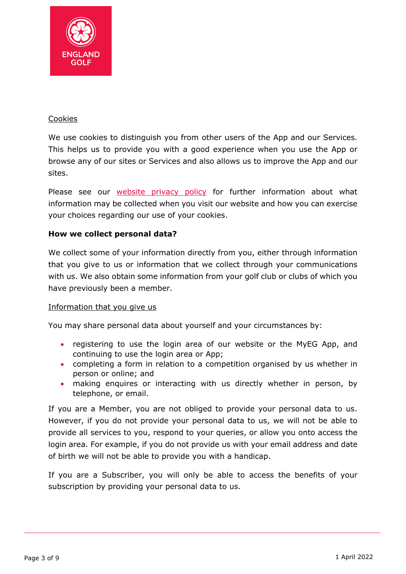

# Cookies

We use cookies to distinguish you from other users of the App and our Services. This helps us to provide you with a good experience when you use the App or browse any of our sites or Services and also allows us to improve the App and our sites.

Please see our [website privacy policy](https://www.englandgolf.org/privacy-policy/) for further information about what information may be collected when you visit our website and how you can exercise your choices regarding our use of your cookies.

# **How we collect personal data?**

We collect some of your information directly from you, either through information that you give to us or information that we collect through your communications with us. We also obtain some information from your golf club or clubs of which you have previously been a member.

## Information that you give us

You may share personal data about yourself and your circumstances by:

- registering to use the login area of our website or the MyEG App, and continuing to use the login area or App;
- completing a form in relation to a competition organised by us whether in person or online; and
- making enquires or interacting with us directly whether in person, by telephone, or email.

If you are a Member, you are not obliged to provide your personal data to us. However, if you do not provide your personal data to us, we will not be able to provide all services to you, respond to your queries, or allow you onto access the login area. For example, if you do not provide us with your email address and date of birth we will not be able to provide you with a handicap.

If you are a Subscriber, you will only be able to access the benefits of your subscription by providing your personal data to us.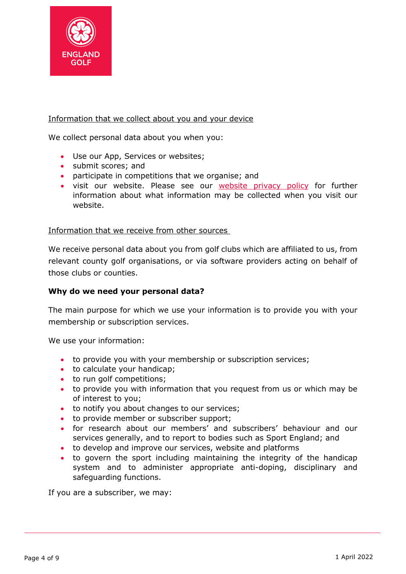

## Information that we collect about you and your device

We collect personal data about you when you:

- Use our App, Services or websites;
- submit scores; and
- participate in competitions that we organise; and
- visit our website. Please see our [website privacy policy](https://www.englandgolf.org/privacy-policy/) for further information about what information may be collected when you visit our website.

#### Information that we receive from other sources

We receive personal data about you from golf clubs which are affiliated to us, from relevant county golf organisations, or via software providers acting on behalf of those clubs or counties.

#### **Why do we need your personal data?**

The main purpose for which we use your information is to provide you with your membership or subscription services.

We use your information:

- to provide you with your membership or subscription services;
- to calculate your handicap;
- to run golf competitions;
- to provide you with information that you request from us or which may be of interest to you;
- to notify you about changes to our services;
- to provide member or subscriber support;
- for research about our members' and subscribers' behaviour and our services generally, and to report to bodies such as Sport England; and
- to develop and improve our services, website and platforms
- to govern the sport including maintaining the integrity of the handicap system and to administer appropriate anti-doping, disciplinary and safeguarding functions.

If you are a subscriber, we may: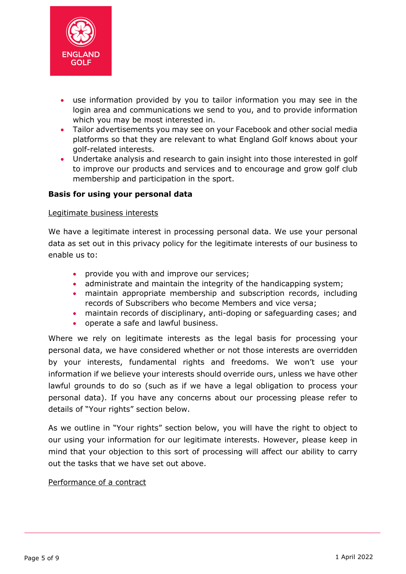

- use information provided by you to tailor information you may see in the login area and communications we send to you, and to provide information which you may be most interested in.
- Tailor advertisements you may see on your Facebook and other social media platforms so that they are relevant to what England Golf knows about your golf-related interests.
- Undertake analysis and research to gain insight into those interested in golf to improve our products and services and to encourage and grow golf club membership and participation in the sport.

## **Basis for using your personal data**

#### Legitimate business interests

We have a legitimate interest in processing personal data. We use your personal data as set out in this privacy policy for the legitimate interests of our business to enable us to:

- provide you with and improve our services;
- administrate and maintain the integrity of the handicapping system;
- maintain appropriate membership and subscription records, including records of Subscribers who become Members and vice versa;
- maintain records of disciplinary, anti-doping or safeguarding cases; and
- operate a safe and lawful business.

Where we rely on legitimate interests as the legal basis for processing your personal data, we have considered whether or not those interests are overridden by your interests, fundamental rights and freedoms. We won't use your information if we believe your interests should override ours, unless we have other lawful grounds to do so (such as if we have a legal obligation to process your personal data). If you have any concerns about our processing please refer to details of "Your rights" section below.

As we outline in "Your rights" section below, you will have the right to object to our using your information for our legitimate interests. However, please keep in mind that your objection to this sort of processing will affect our ability to carry out the tasks that we have set out above.

## Performance of a contract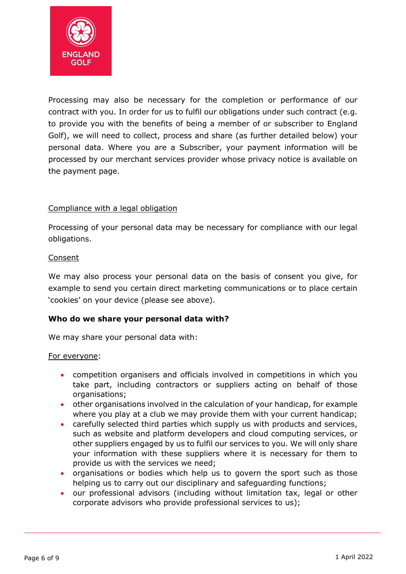

Processing may also be necessary for the completion or performance of our contract with you. In order for us to fulfil our obligations under such contract (e.g. to provide you with the benefits of being a member of or subscriber to England Golf), we will need to collect, process and share (as further detailed below) your personal data. Where you are a Subscriber, your payment information will be processed by our merchant services provider whose privacy notice is available on the payment page.

# Compliance with a legal obligation

Processing of your personal data may be necessary for compliance with our legal obligations.

## Consent

We may also process your personal data on the basis of consent you give, for example to send you certain direct marketing communications or to place certain 'cookies' on your device (please see above).

## **Who do we share your personal data with?**

We may share your personal data with:

#### For everyone:

- competition organisers and officials involved in competitions in which you take part, including contractors or suppliers acting on behalf of those organisations;
- other organisations involved in the calculation of your handicap, for example where you play at a club we may provide them with your current handicap;
- carefully selected third parties which supply us with products and services, such as website and platform developers and cloud computing services, or other suppliers engaged by us to fulfil our services to you. We will only share your information with these suppliers where it is necessary for them to provide us with the services we need;
- organisations or bodies which help us to govern the sport such as those helping us to carry out our disciplinary and safeguarding functions;
- our professional advisors (including without limitation tax, legal or other corporate advisors who provide professional services to us);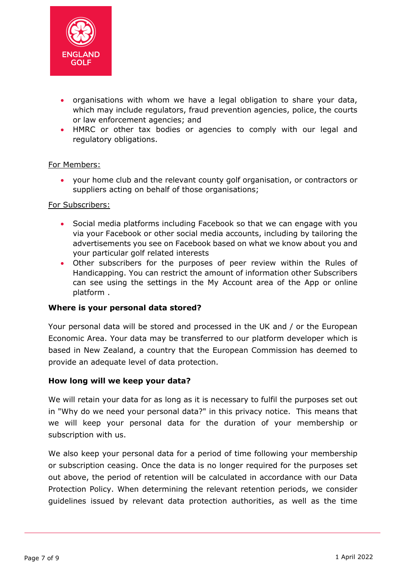

- organisations with whom we have a legal obligation to share your data, which may include regulators, fraud prevention agencies, police, the courts or law enforcement agencies; and
- HMRC or other tax bodies or agencies to comply with our legal and regulatory obligations.

## For Members:

• your home club and the relevant county golf organisation, or contractors or suppliers acting on behalf of those organisations;

#### For Subscribers:

- Social media platforms including Facebook so that we can engage with you via your Facebook or other social media accounts, including by tailoring the advertisements you see on Facebook based on what we know about you and your particular golf related interests
- Other subscribers for the purposes of peer review within the Rules of Handicapping. You can restrict the amount of information other Subscribers can see using the settings in the My Account area of the App or online platform .

## **Where is your personal data stored?**

Your personal data will be stored and processed in the UK and / or the European Economic Area. Your data may be transferred to our platform developer which is based in New Zealand, a country that the European Commission has deemed to provide an adequate level of data protection.

## **How long will we keep your data?**

We will retain your data for as long as it is necessary to fulfil the purposes set out in "Why do we need your personal data?" in this privacy notice. This means that we will keep your personal data for the duration of your membership or subscription with us.

We also keep your personal data for a period of time following your membership or subscription ceasing. Once the data is no longer required for the purposes set out above, the period of retention will be calculated in accordance with our Data Protection Policy. When determining the relevant retention periods, we consider guidelines issued by relevant data protection authorities, as well as the time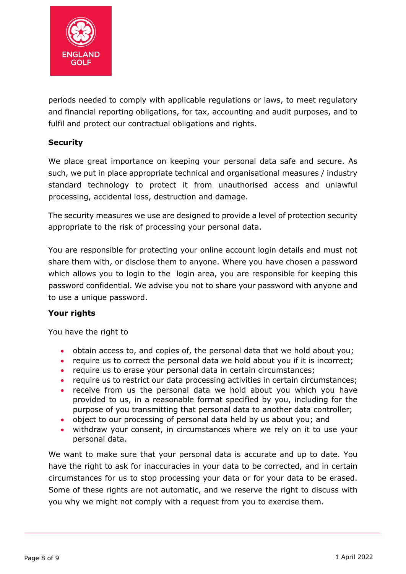

periods needed to comply with applicable regulations or laws, to meet regulatory and financial reporting obligations, for tax, accounting and audit purposes, and to fulfil and protect our contractual obligations and rights.

# **Security**

We place great importance on keeping your personal data safe and secure. As such, we put in place appropriate technical and organisational measures / industry standard technology to protect it from unauthorised access and unlawful processing, accidental loss, destruction and damage.

The security measures we use are designed to provide a level of protection security appropriate to the risk of processing your personal data.

You are responsible for protecting your online account login details and must not share them with, or disclose them to anyone. Where you have chosen a password which allows you to login to the login area, you are responsible for keeping this password confidential. We advise you not to share your password with anyone and to use a unique password.

## **Your rights**

You have the right to

- obtain access to, and copies of, the personal data that we hold about you;
- require us to correct the personal data we hold about you if it is incorrect;
- require us to erase your personal data in certain circumstances;
- require us to restrict our data processing activities in certain circumstances;
- receive from us the personal data we hold about you which you have provided to us, in a reasonable format specified by you, including for the purpose of you transmitting that personal data to another data controller;
- object to our processing of personal data held by us about you; and
- withdraw your consent, in circumstances where we rely on it to use your personal data.

We want to make sure that your personal data is accurate and up to date. You have the right to ask for inaccuracies in your data to be corrected, and in certain circumstances for us to stop processing your data or for your data to be erased. Some of these rights are not automatic, and we reserve the right to discuss with you why we might not comply with a request from you to exercise them.